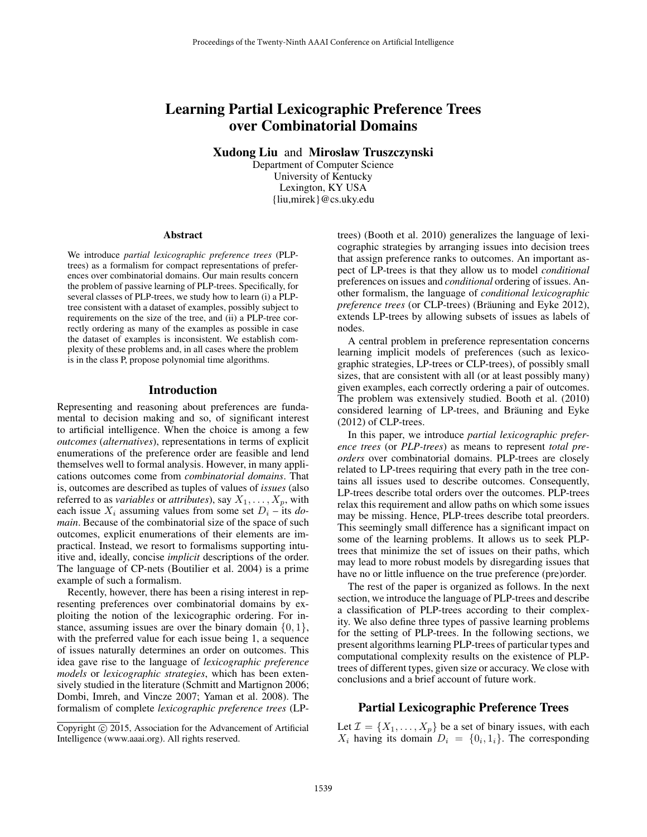# Learning Partial Lexicographic Preference Trees over Combinatorial Domains

Xudong Liu and Miroslaw Truszczynski

Department of Computer Science University of Kentucky Lexington, KY USA {liu,mirek}@cs.uky.edu

#### Abstract

We introduce *partial lexicographic preference trees* (PLPtrees) as a formalism for compact representations of preferences over combinatorial domains. Our main results concern the problem of passive learning of PLP-trees. Specifically, for several classes of PLP-trees, we study how to learn (i) a PLPtree consistent with a dataset of examples, possibly subject to requirements on the size of the tree, and (ii) a PLP-tree correctly ordering as many of the examples as possible in case the dataset of examples is inconsistent. We establish complexity of these problems and, in all cases where the problem is in the class P, propose polynomial time algorithms.

### Introduction

Representing and reasoning about preferences are fundamental to decision making and so, of significant interest to artificial intelligence. When the choice is among a few *outcomes* (*alternatives*), representations in terms of explicit enumerations of the preference order are feasible and lend themselves well to formal analysis. However, in many applications outcomes come from *combinatorial domains*. That is, outcomes are described as tuples of values of *issues* (also referred to as *variables* or *attributes*), say  $X_1, \ldots, X_p$ , with each issue  $X_i$  assuming values from some set  $D_i$  – its *domain*. Because of the combinatorial size of the space of such outcomes, explicit enumerations of their elements are impractical. Instead, we resort to formalisms supporting intuitive and, ideally, concise *implicit* descriptions of the order. The language of CP-nets (Boutilier et al. 2004) is a prime example of such a formalism.

Recently, however, there has been a rising interest in representing preferences over combinatorial domains by exploiting the notion of the lexicographic ordering. For instance, assuming issues are over the binary domain  $\{0, 1\}$ , with the preferred value for each issue being 1, a sequence of issues naturally determines an order on outcomes. This idea gave rise to the language of *lexicographic preference models* or *lexicographic strategies*, which has been extensively studied in the literature (Schmitt and Martignon 2006; Dombi, Imreh, and Vincze 2007; Yaman et al. 2008). The formalism of complete *lexicographic preference trees* (LP-

trees) (Booth et al. 2010) generalizes the language of lexicographic strategies by arranging issues into decision trees that assign preference ranks to outcomes. An important aspect of LP-trees is that they allow us to model *conditional* preferences on issues and *conditional* ordering of issues. Another formalism, the language of *conditional lexicographic preference trees* (or CLP-trees) (Bräuning and Eyke 2012), extends LP-trees by allowing subsets of issues as labels of nodes.

A central problem in preference representation concerns learning implicit models of preferences (such as lexicographic strategies, LP-trees or CLP-trees), of possibly small sizes, that are consistent with all (or at least possibly many) given examples, each correctly ordering a pair of outcomes. The problem was extensively studied. Booth et al. (2010) considered learning of LP-trees, and Bräuning and Eyke (2012) of CLP-trees.

In this paper, we introduce *partial lexicographic preference trees* (or *PLP-trees*) as means to represent *total preorders* over combinatorial domains. PLP-trees are closely related to LP-trees requiring that every path in the tree contains all issues used to describe outcomes. Consequently, LP-trees describe total orders over the outcomes. PLP-trees relax this requirement and allow paths on which some issues may be missing. Hence, PLP-trees describe total preorders. This seemingly small difference has a significant impact on some of the learning problems. It allows us to seek PLPtrees that minimize the set of issues on their paths, which may lead to more robust models by disregarding issues that have no or little influence on the true preference (pre)order.

The rest of the paper is organized as follows. In the next section, we introduce the language of PLP-trees and describe a classification of PLP-trees according to their complexity. We also define three types of passive learning problems for the setting of PLP-trees. In the following sections, we present algorithms learning PLP-trees of particular types and computational complexity results on the existence of PLPtrees of different types, given size or accuracy. We close with conclusions and a brief account of future work.

### Partial Lexicographic Preference Trees

Let  $\mathcal{I} = \{X_1, \ldots, X_p\}$  be a set of binary issues, with each  $X_i$  having its domain  $D_i = \{0_i, 1_i\}$ . The corresponding

Copyright (c) 2015, Association for the Advancement of Artificial Intelligence (www.aaai.org). All rights reserved.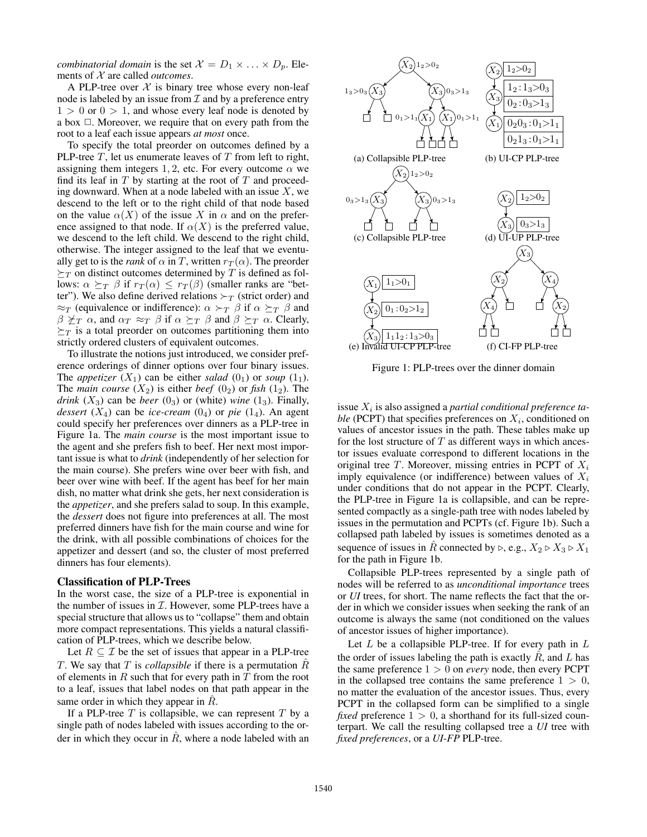*combinatorial domain* is the set  $\mathcal{X} = D_1 \times \ldots \times D_p$ . Elements of X are called *outcomes*.

A PLP-tree over  $X$  is binary tree whose every non-leaf node is labeled by an issue from  $\mathcal I$  and by a preference entry  $1 > 0$  or  $0 > 1$ , and whose every leaf node is denoted by a box  $\Box$ . Moreover, we require that on every path from the root to a leaf each issue appears *at most* once.

To specify the total preorder on outcomes defined by a PLP-tree  $T$ , let us enumerate leaves of  $T$  from left to right, assigning them integers 1, 2, etc. For every outcome  $\alpha$  we find its leaf in  $T$  by starting at the root of  $T$  and proceeding downward. When at a node labeled with an issue  $X$ , we descend to the left or to the right child of that node based on the value  $\alpha(X)$  of the issue X in  $\alpha$  and on the preference assigned to that node. If  $\alpha(X)$  is the preferred value, we descend to the left child. We descend to the right child, otherwise. The integer assigned to the leaf that we eventually get to is the *rank* of  $\alpha$  in T, written  $r_T(\alpha)$ . The preorder  $\succeq_T$  on distinct outcomes determined by T is defined as follows:  $\alpha \succeq_T \beta$  if  $r_T(\alpha) \leq r_T(\beta)$  (smaller ranks are "better"). We also define derived relations  $\succ_T$  (strict order) and  $\approx_T$  (equivalence or indifference):  $\alpha \succ_T \beta$  if  $\alpha \succeq_T \beta$  and  $\beta \nleq_T \alpha$ , and  $\alpha_T \approx_T \beta$  if  $\alpha \succeq_T \beta$  and  $\beta \succeq_T \alpha$ . Clearly,  $\succeq_T$  is a total preorder on outcomes partitioning them into strictly ordered clusters of equivalent outcomes.

To illustrate the notions just introduced, we consider preference orderings of dinner options over four binary issues. The *appetizer*  $(X_1)$  can be either *salad*  $(0_1)$  or *soup*  $(1_1)$ . The *main course*  $(X_2)$  is either *beef*  $(0_2)$  or *fish*  $(1_2)$ . The *drink*  $(X_3)$  can be *beer*  $(0_3)$  or (white) *wine*  $(1_3)$ . Finally, *dessert*  $(X_4)$  can be *ice-cream*  $(0_4)$  or *pie*  $(1_4)$ . An agent could specify her preferences over dinners as a PLP-tree in Figure 1a. The *main course* is the most important issue to the agent and she prefers fish to beef. Her next most important issue is what to *drink* (independently of her selection for the main course). She prefers wine over beer with fish, and beer over wine with beef. If the agent has beef for her main dish, no matter what drink she gets, her next consideration is the *appetizer*, and she prefers salad to soup. In this example, the *dessert* does not figure into preferences at all. The most preferred dinners have fish for the main course and wine for the drink, with all possible combinations of choices for the appetizer and dessert (and so, the cluster of most preferred dinners has four elements).

#### Classification of PLP-Trees

In the worst case, the size of a PLP-tree is exponential in the number of issues in  $I$ . However, some PLP-trees have a special structure that allows us to "collapse" them and obtain more compact representations. This yields a natural classification of PLP-trees, which we describe below.

Let  $R \subset \mathcal{I}$  be the set of issues that appear in a PLP-tree T. We say that T is *collapsible* if there is a permutation  $\tilde{R}$ of elements in  $R$  such that for every path in  $T$  from the root to a leaf, issues that label nodes on that path appear in the same order in which they appear in  $\ddot{R}$ .

If a PLP-tree  $T$  is collapsible, we can represent  $T$  by a single path of nodes labeled with issues according to the order in which they occur in  $\tilde{R}$ , where a node labeled with an



Figure 1: PLP-trees over the dinner domain

issue  $X_i$  is also assigned a *partial conditional preference ta*ble (PCPT) that specifies preferences on  $X_i$ , conditioned on values of ancestor issues in the path. These tables make up for the lost structure of  $T$  as different ways in which ancestor issues evaluate correspond to different locations in the original tree T. Moreover, missing entries in PCPT of  $X_i$ imply equivalence (or indifference) between values of  $X_i$ under conditions that do not appear in the PCPT. Clearly, the PLP-tree in Figure 1a is collapsible, and can be represented compactly as a single-path tree with nodes labeled by issues in the permutation and PCPTs (cf. Figure 1b). Such a collapsed path labeled by issues is sometimes denoted as a sequence of issues in  $\hat{R}$  connected by  $\triangleright$ , e.g.,  $X_2 \triangleright X_3 \triangleright X_1$ for the path in Figure 1b.

Collapsible PLP-trees represented by a single path of nodes will be referred to as *unconditional importance* trees or *UI* trees, for short. The name reflects the fact that the order in which we consider issues when seeking the rank of an outcome is always the same (not conditioned on the values of ancestor issues of higher importance).

Let  $L$  be a collapsible PLP-tree. If for every path in  $L$ the order of issues labeling the path is exactly  $\hat{R}$ , and  $L$  has the same preference  $1 > 0$  on *every* node, then every PCPT in the collapsed tree contains the same preference  $1 > 0$ , no matter the evaluation of the ancestor issues. Thus, every PCPT in the collapsed form can be simplified to a single *fixed* preference  $1 > 0$ , a shorthand for its full-sized counterpart. We call the resulting collapsed tree a *UI* tree with *fixed preferences*, or a *UI*-*FP* PLP-tree.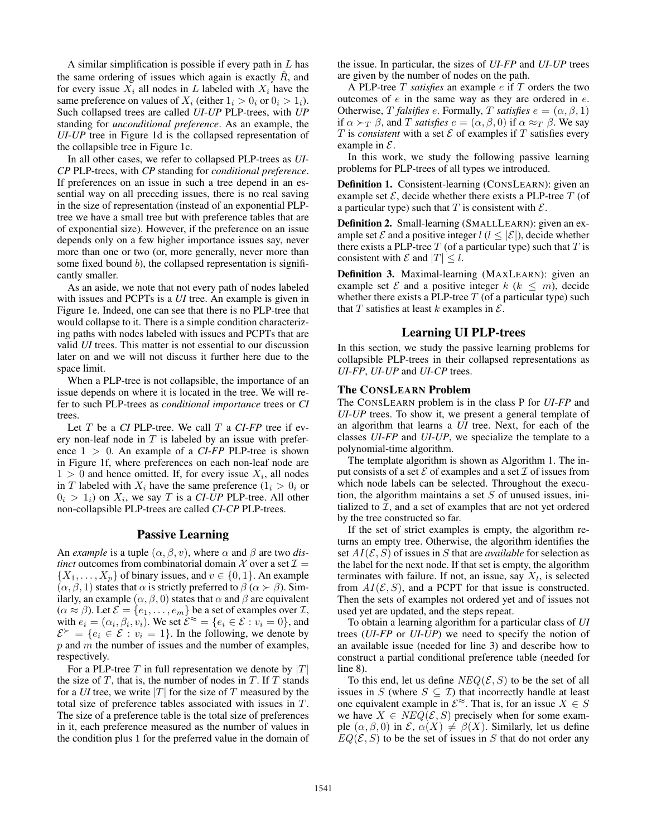A similar simplification is possible if every path in  $L$  has the same ordering of issues which again is exactly  $\hat{R}$ , and for every issue  $X_i$  all nodes in L labeled with  $X_i$  have the same preference on values of  $X_i$  (either  $1_i > 0_i$  or  $0_i > 1_i$ ). Such collapsed trees are called *UI*-*UP* PLP-trees, with *UP* standing for *unconditional preference*. As an example, the *UI*-*UP* tree in Figure 1d is the collapsed representation of the collapsible tree in Figure 1c.

In all other cases, we refer to collapsed PLP-trees as *UI*-*CP* PLP-trees, with *CP* standing for *conditional preference*. If preferences on an issue in such a tree depend in an essential way on all preceding issues, there is no real saving in the size of representation (instead of an exponential PLPtree we have a small tree but with preference tables that are of exponential size). However, if the preference on an issue depends only on a few higher importance issues say, never more than one or two (or, more generally, never more than some fixed bound  $b$ ), the collapsed representation is significantly smaller.

As an aside, we note that not every path of nodes labeled with issues and PCPTs is a *UI* tree. An example is given in Figure 1e. Indeed, one can see that there is no PLP-tree that would collapse to it. There is a simple condition characterizing paths with nodes labeled with issues and PCPTs that are valid *UI* trees. This matter is not essential to our discussion later on and we will not discuss it further here due to the space limit.

When a PLP-tree is not collapsible, the importance of an issue depends on where it is located in the tree. We will refer to such PLP-trees as *conditional importance* trees or *CI* trees.

Let T be a *CI* PLP-tree. We call T a *CI*-*FP* tree if every non-leaf node in  $T$  is labeled by an issue with preference 1 > 0. An example of a *CI*-*FP* PLP-tree is shown in Figure 1f, where preferences on each non-leaf node are  $1 > 0$  and hence omitted. If, for every issue  $X_i$ , all nodes in T labeled with  $X_i$  have the same preference  $(1_i > 0_i$  or  $0_i > 1_i$ ) on  $X_i$ , we say T is a CI-UP PLP-tree. All other non-collapsible PLP-trees are called *CI*-*CP* PLP-trees.

### Passive Learning

An *example* is a tuple  $(\alpha, \beta, v)$ , where  $\alpha$  and  $\beta$  are two *distinct* outcomes from combinatorial domain  $\mathcal X$  over a set  $\mathcal I$  =  $\{X_1, \ldots, X_p\}$  of binary issues, and  $v \in \{0, 1\}$ . An example  $(\alpha, \beta, 1)$  states that  $\alpha$  is strictly preferred to  $\beta$  ( $\alpha \succ \beta$ ). Similarly, an example  $(\alpha, \beta, 0)$  states that  $\alpha$  and  $\beta$  are equivalent  $(\alpha \approx \beta)$ . Let  $\mathcal{E} = \{e_1, \ldots, e_m\}$  be a set of examples over  $\mathcal{I}$ , with  $e_i = (\alpha_i, \beta_i, v_i)$ . We set  $\mathcal{E}^{\approx} = \{e_i \in \mathcal{E} : v_i = 0\}$ , and  $\mathcal{E}^{\succ} = \{e_i \in \mathcal{E} : v_i = 1\}$ . In the following, we denote by  $p$  and  $m$  the number of issues and the number of examples, respectively.

For a PLP-tree T in full representation we denote by  $|T|$ the size of  $T$ , that is, the number of nodes in  $T$ . If  $T$  stands for a *UI* tree, we write  $|T|$  for the size of T measured by the total size of preference tables associated with issues in T. The size of a preference table is the total size of preferences in it, each preference measured as the number of values in the condition plus 1 for the preferred value in the domain of

the issue. In particular, the sizes of *UI*-*FP* and *UI*-*UP* trees are given by the number of nodes on the path.

A PLP-tree T *satisfies* an example e if T orders the two outcomes of  $e$  in the same way as they are ordered in  $e$ . Otherwise, T *falsifies* e. Formally, T *satisfies*  $e = (\alpha, \beta, 1)$ if  $\alpha \succ_T \beta$ , and T *satisfies*  $e = (\alpha, \beta, 0)$  if  $\alpha \approx_T \beta$ . We say T is *consistent* with a set  $\mathcal E$  of examples if  $T$  satisfies every example in  $\mathcal{E}$ .

In this work, we study the following passive learning problems for PLP-trees of all types we introduced.

Definition 1. Consistent-learning (CONSLEARN): given an example set  $\mathcal{E}$ , decide whether there exists a PLP-tree  $T$  (of a particular type) such that T is consistent with  $\mathcal{E}$ .

Definition 2. Small-learning (SMALLLEARN): given an example set  $\mathcal E$  and a positive integer  $l$  ( $l \leq |\mathcal E|$ ), decide whether there exists a PLP-tree  $T$  (of a particular type) such that  $T$  is consistent with  $\mathcal E$  and  $|T| \leq l$ .

Definition 3. Maximal-learning (MAXLEARN): given an example set  $\mathcal E$  and a positive integer  $k$  ( $k \leq m$ ), decide whether there exists a PLP-tree  $T$  (of a particular type) such that T satisfies at least k examples in  $\mathcal{E}$ .

### Learning UI PLP-trees

In this section, we study the passive learning problems for collapsible PLP-trees in their collapsed representations as *UI*-*FP*, *UI*-*UP* and *UI*-*CP* trees.

### The CONSLEARN Problem

The CONSLEARN problem is in the class P for *UI*-*FP* and *UI*-*UP* trees. To show it, we present a general template of an algorithm that learns a *UI* tree. Next, for each of the classes *UI*-*FP* and *UI*-*UP*, we specialize the template to a polynomial-time algorithm.

The template algorithm is shown as Algorithm 1. The input consists of a set  $\mathcal E$  of examples and a set  $\mathcal I$  of issues from which node labels can be selected. Throughout the execution, the algorithm maintains a set  $S$  of unused issues, initialized to  $I$ , and a set of examples that are not yet ordered by the tree constructed so far.

If the set of strict examples is empty, the algorithm returns an empty tree. Otherwise, the algorithm identifies the set  $AI(\mathcal{E}, S)$  of issues in S that are *available* for selection as the label for the next node. If that set is empty, the algorithm terminates with failure. If not, an issue, say  $X_l$ , is selected from  $AI(\mathcal{E}, S)$ , and a PCPT for that issue is constructed. Then the sets of examples not ordered yet and of issues not used yet are updated, and the steps repeat.

To obtain a learning algorithm for a particular class of *UI* trees (*UI*-*FP* or *UI*-*UP*) we need to specify the notion of an available issue (needed for line 3) and describe how to construct a partial conditional preference table (needed for line 8).

To this end, let us define  $NEQ(\mathcal{E}, S)$  to be the set of all issues in S (where  $S \subseteq \mathcal{I}$ ) that incorrectly handle at least one equivalent example in  $\mathcal{E}^{\approx}$ . That is, for an issue  $X \in S$ we have  $X \in \text{NEQ}(\mathcal{E}, S)$  precisely when for some example  $(\alpha, \beta, 0)$  in  $\mathcal{E}, \alpha(X) \neq \beta(X)$ . Similarly, let us define  $EQ(\mathcal{E}, S)$  to be the set of issues in S that do not order any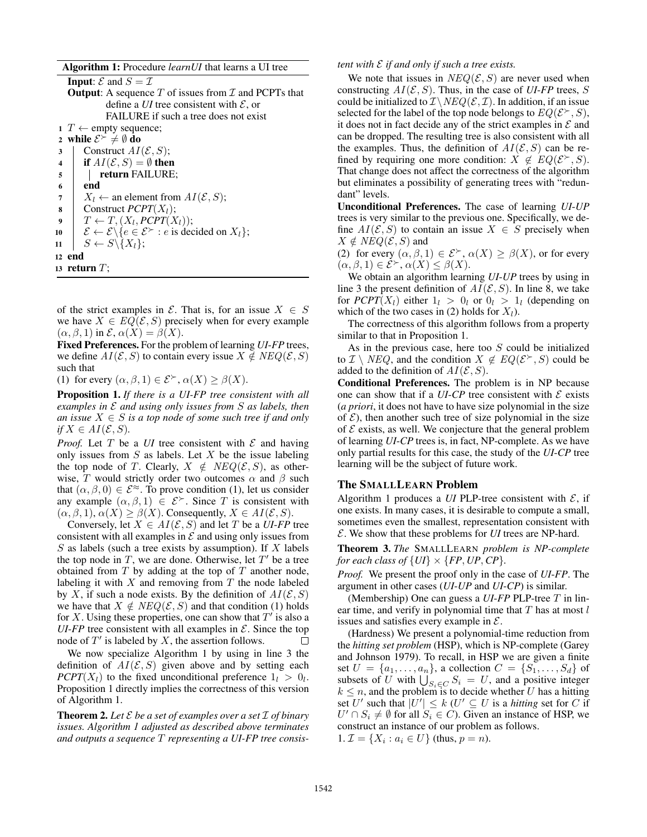Algorithm 1: Procedure *learnUI* that learns a UI tree

| <b>Input:</b> $\mathcal{E}$ and $S = \mathcal{I}$                                                                   |  |
|---------------------------------------------------------------------------------------------------------------------|--|
| <b>Output:</b> A sequence T of issues from $\mathcal I$ and PCPTs that                                              |  |
| define a <i>UI</i> tree consistent with $\mathcal{E}$ , or                                                          |  |
| FAILURE if such a tree does not exist                                                                               |  |
| $1$ T $\leftarrow$ empty sequence;                                                                                  |  |
| 2 while $\mathcal{E}^{\succ} \neq \emptyset$ do                                                                     |  |
| Construct $AI(\mathcal{E}, S)$ ;<br>3                                                                               |  |
| if $AI(\mathcal{E}, S) = \emptyset$ then<br>$\overline{\mathbf{4}}$                                                 |  |
| return FAILURE;<br>5                                                                                                |  |
| end<br>6                                                                                                            |  |
| $X_l \leftarrow$ an element from $AI(\mathcal{E}, S)$ ;<br>7                                                        |  |
| Construct $PCPT(X_l);$<br>8                                                                                         |  |
| $T \leftarrow T, (X_l, PCPT(X_l));$<br>9                                                                            |  |
| $\mathcal{E} \leftarrow \mathcal{E} \backslash \{e \in \mathcal{E}^{\succ} : e \text{ is decided on } X_l\};$<br>10 |  |
| $S \leftarrow S \backslash \{X_l\};$<br>11                                                                          |  |
| 12 end                                                                                                              |  |
| 13   return T ;                                                                                                     |  |
|                                                                                                                     |  |

of the strict examples in  $\mathcal{E}$ . That is, for an issue  $X \in S$ we have  $X \in EQ(\mathcal{E}, S)$  precisely when for every example  $(\alpha, \beta, 1)$  in  $\mathcal{E}, \alpha(X) = \beta(X)$ .

Fixed Preferences. For the problem of learning *UI*-*FP* trees, we define  $AI(\mathcal{E}, S)$  to contain every issue  $X \notin NEG(\mathcal{E}, S)$ such that

(1) for every  $(\alpha, \beta, 1) \in \mathcal{E}^{\succ}, \alpha(X) \geq \beta(X)$ .

Proposition 1. *If there is a UI-FP tree consistent with all examples in* E *and using only issues from* S *as labels, then an issue*  $X \in S$  *is a top node of some such tree if and only if*  $X \in AI(\mathcal{E}, S)$ *.* 

*Proof.* Let T be a *UI* tree consistent with  $\mathcal E$  and having only issues from  $S$  as labels. Let  $X$  be the issue labeling the top node of T. Clearly,  $X \notin NEQ(\mathcal{E}, S)$ , as otherwise, T would strictly order two outcomes  $\alpha$  and  $\beta$  such that  $(\alpha, \beta, 0) \in \mathcal{E}^{\infty}$ . To prove condition (1), let us consider any example  $(\alpha, \beta, 1) \in \mathcal{E}^{\succ}$ . Since T is consistent with  $(\alpha, \beta, 1), \alpha(X) > \beta(X)$ . Consequently,  $X \in AI(\mathcal{E}, S)$ .

Conversely, let  $X \in AI(\mathcal{E}, S)$  and let T be a *UI-FP* tree consistent with all examples in  $\mathcal E$  and using only issues from S as labels (such a tree exists by assumption). If X labels the top node in  $T$ , we are done. Otherwise, let  $T'$  be a tree obtained from  $T$  by adding at the top of  $T$  another node, labeling it with  $X$  and removing from  $T$  the node labeled by X, if such a node exists. By the definition of  $AI(\mathcal{E}, S)$ we have that  $X \notin \text{NEQ}(\mathcal{E}, S)$  and that condition (1) holds for X. Using these properties, one can show that  $T'$  is also a *UI-FP* tree consistent with all examples in  $\mathcal{E}$ . Since the top node of  $T'$  is labeled by  $X$ , the assertion follows. П

We now specialize Algorithm 1 by using in line 3 the definition of  $AI(\mathcal{E}, S)$  given above and by setting each *PCPT*( $X_l$ ) to the fixed unconditional preference  $1_l > 0_l$ . Proposition 1 directly implies the correctness of this version of Algorithm 1.

**Theorem 2.** Let  $\mathcal E$  be a set of examples over a set  $\mathcal I$  of binary *issues. Algorithm 1 adjusted as described above terminates and outputs a sequence* T *representing a UI-FP tree consis-* *tent with* E *if and only if such a tree exists.*

We note that issues in  $NEQ(\mathcal{E}, S)$  are never used when constructing  $AI(\mathcal{E}, S)$ . Thus, in the case of *UI-FP* trees, S could be initialized to  $\mathcal{I} \setminus \mathcal{NEQ}(\mathcal{E}, \mathcal{I})$ . In addition, if an issue selected for the label of the top node belongs to  $EQ(\mathcal{E}^>, S)$ , it does not in fact decide any of the strict examples in  $\mathcal E$  and can be dropped. The resulting tree is also consistent with all the examples. Thus, the definition of  $AI(\mathcal{E}, S)$  can be refined by requiring one more condition:  $\hat{X} \notin EQ(\mathcal{E}^>, S)$ . That change does not affect the correctness of the algorithm but eliminates a possibility of generating trees with "redundant" levels.

Unconditional Preferences. The case of learning *UI*-*UP* trees is very similar to the previous one. Specifically, we define  $AI(\mathcal{E}, S)$  to contain an issue  $X \in S$  precisely when  $X \notin NEG(\mathcal{E}, S)$  and

(2) for every  $(\alpha, \beta, 1) \in \mathcal{E}^{\succ}, \alpha(X) \geq \beta(X)$ , or for every  $(\alpha, \beta, 1) \in \mathcal{E}^{\succ}, \alpha(X) \leq \beta(X).$ 

We obtain an algorithm learning *UI*-*UP* trees by using in line 3 the present definition of  $AI(\mathcal{E}, S)$ . In line 8, we take for  $P{\rm CPT}(X_l)$  either  $1_l > 0_l$  or  $0_l > 1_l$  (depending on which of the two cases in (2) holds for  $X_l$ ).

The correctness of this algorithm follows from a property similar to that in Proposition 1.

As in the previous case, here too  $S$  could be initialized to  $\mathcal{I} \setminus \text{NEQ}$ , and the condition  $X \notin EQ(\mathcal{E}^{\succ}, S)$  could be added to the definition of  $AI(\mathcal{E}, S)$ .

Conditional Preferences. The problem is in NP because one can show that if a  $UI$ - $CP$  tree consistent with  $E$  exists (*a priori*, it does not have to have size polynomial in the size of  $\mathcal{E}$ ), then another such tree of size polynomial in the size of  $\mathcal E$  exists, as well. We conjecture that the general problem of learning *UI*-*CP* trees is, in fact, NP-complete. As we have only partial results for this case, the study of the *UI*-*CP* tree learning will be the subject of future work.

#### The SMALLLEARN Problem

Algorithm 1 produces a *UI* PLP-tree consistent with  $\mathcal{E}$ , if one exists. In many cases, it is desirable to compute a small, sometimes even the smallest, representation consistent with E. We show that these problems for *UI* trees are NP-hard.

Theorem 3. *The* SMALLLEARN *problem is NP-complete for each class of*  $\{UI\} \times \{FP, UP, CP\}$ *.* 

*Proof.* We present the proof only in the case of *UI*-*FP*. The argument in other cases (*UI*-*UP* and *UI*-*CP*) is similar.

(Membership) One can guess a *UI*-*FP* PLP-tree T in linear time, and verify in polynomial time that  $T$  has at most  $l$ issues and satisfies every example in  $\mathcal{E}$ .

(Hardness) We present a polynomial-time reduction from the *hitting set problem* (HSP), which is NP-complete (Garey and Johnson 1979). To recall, in HSP we are given a finite set  $U = \{a_1, \ldots, a_n\}$ , a collection  $C = \{S_1, \ldots, S_d\}$  of subsets of U with  $\bigcup_{S_i \in C} S_i = U$ , and a positive integer  $k \leq n$ , and the problem is to decide whether U has a hitting set U' such that  $|U'| \leq k$  (U'  $\subseteq U$  is a *hitting* set for C if  $U' \cap S_i \neq \emptyset$  for all  $S_i \in C$ ). Given an instance of HSP, we construct an instance of our problem as follows. 1.  $\mathcal{I} = \{X_i : a_i \in U\}$  (thus,  $p = n$ ).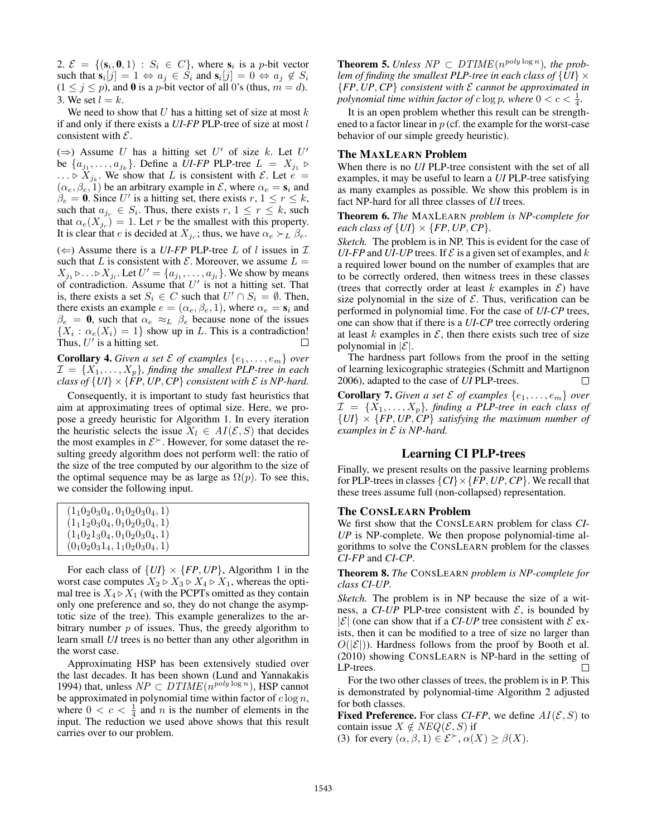2.  $\mathcal{E} = \{ (\mathbf{s}_i, \mathbf{0}, 1) : S_i \in C \}$ , where  $\mathbf{s}_i$  is a p-bit vector such that  $s_i[j] = 1 \Leftrightarrow a_j \in S_i$  and  $s_i[j] = 0 \Leftrightarrow a_j \notin S_i$  $(1 \le j \le p)$ , and 0 is a p-bit vector of all 0's (thus,  $m = d$ ). 3. We set  $l = k$ .

We need to show that  $U$  has a hitting set of size at most  $k$ if and only if there exists a *UI*-*FP* PLP-tree of size at most l consistent with  $\mathcal{E}$ .

(⇒) Assume U has a hitting set U' of size k. Let U' be  $\{a_{j_1}, \ldots, a_{j_k}\}\$ . Define a *UI-FP* PLP-tree  $L = X_{j_1} \triangleright$  $\ldots \triangleright X_{j_k}$ . We show that L is consistent with  $\mathcal{E}$ . Let  $e =$  $(\alpha_e, \beta_e, 1)$  be an arbitrary example in  $\mathcal{E}$ , where  $\alpha_e = s_i$  and  $\beta_e = 0$ . Since U' is a hitting set, there exists  $r, 1 \le r \le k$ , such that  $a_{j_r} \in S_i$ . Thus, there exists  $r, 1 \leq r \leq k$ , such that  $\alpha_e(X_{j_r}) = 1$ . Let r be the smallest with this property. It is clear that *e* is decided at  $X_{j_r}$ ; thus, we have  $\alpha_e \succ_L \beta_e$ .

( $\Leftarrow$ ) Assume there is a *UI-FP* PLP-tree *L* of *l* issues in *T* such that L is consistent with  $\mathcal E$ . Moreover, we assume  $L =$  $X_{j_1} \triangleright \ldots \triangleright X_{j_l}$ . Let  $U' = \{a_{j_1}, \ldots, a_{j_l}\}$ . We show by means of contradiction. Assume that  $U'$  is not a hitting set. That is, there exists a set  $S_i \in C$  such that  $U' \cap S_i = \emptyset$ . Then, there exists an example  $e = (\alpha_e, \beta_e, 1)$ , where  $\alpha_e = s_i$  and  $\beta_e = 0$ , such that  $\alpha_e \approx_L \beta_e$  because none of the issues  ${X_i : \alpha_e(X_i) = 1}$  show up in L. This is a contradiction! Thus,  $U'$  is a hitting set.  $\Box$ 

**Corollary 4.** Given a set  $\mathcal{E}$  of examples  $\{e_1, \ldots, e_m\}$  over  $\mathcal{I} = \{X_1, \ldots, X_p\}$ , finding the smallest PLP-tree in each *class of*  $\{UI\} \times \{FP, UP, CP\}$  *consistent with*  $\mathcal E$  *is NP-hard.* 

Consequently, it is important to study fast heuristics that aim at approximating trees of optimal size. Here, we propose a greedy heuristic for Algorithm 1. In every iteration the heuristic selects the issue  $X_l \in AI(\mathcal{E}, S)$  that decides the most examples in  $\mathcal{E}^{\succ}$ . However, for some dataset the resulting greedy algorithm does not perform well: the ratio of the size of the tree computed by our algorithm to the size of the optimal sequence may be as large as  $\Omega(p)$ . To see this, we consider the following input.

| $(1_10_20_30_4, 0_10_20_30_4, 1)$ |  |
|-----------------------------------|--|
| $(1_11_20_30_4, 0_10_20_30_4, 1)$ |  |
| $(1_10_21_30_4, 0_10_20_30_4, 1)$ |  |
| $(0_10_20_31_4, 1_10_20_30_4, 1)$ |  |

For each class of  $\{UI\} \times \{FP, UP\}$ , Algorithm 1 in the worst case computes  $X_2 \triangleright X_3 \triangleright X_4 \triangleright X_1$ , whereas the optimal tree is  $X_4 \triangleright X_1$  (with the PCPTs omitted as they contain only one preference and so, they do not change the asymptotic size of the tree). This example generalizes to the arbitrary number  $p$  of issues. Thus, the greedy algorithm to learn small *UI* trees is no better than any other algorithm in the worst case.

Approximating HSP has been extensively studied over the last decades. It has been shown (Lund and Yannakakis 1994) that, unless  $NP \subset DTIME(n^{poly \log n})$ , HSP cannot be approximated in polynomial time within factor of  $c \log n$ , where  $0 < c < \frac{1}{4}$  and *n* is the number of elements in the input. The reduction we used above shows that this result carries over to our problem.

**Theorem 5.** Unless  $NP \subset DTIME(n^{poly \log n})$ , the prob*lem of finding the smallest PLP-tree in each class of*  $\{UI\} \times$ {*FP*, *UP*, *CP*} *consistent with* E *cannot be approximated in* polynomial time within factor of  $c \log p$ , where  $0 < c < \frac{1}{4}$ .

It is an open problem whether this result can be strengthened to a factor linear in  $p$  (cf. the example for the worst-case behavior of our simple greedy heuristic).

### The MAXLEARN Problem

When there is no *UI* PLP-tree consistent with the set of all examples, it may be useful to learn a *UI* PLP-tree satisfying as many examples as possible. We show this problem is in fact NP-hard for all three classes of *UI* trees.

Theorem 6. *The* MAXLEARN *problem is NP-complete for each class of*  $\{UI\} \times \{FP, UP, CP\}$ *.* 

*Sketch.* The problem is in NP. This is evident for the case of *UI-FP* and *UI-UP* trees. If  $\mathcal E$  is a given set of examples, and k a required lower bound on the number of examples that are to be correctly ordered, then witness trees in these classes (trees that correctly order at least k examples in  $\mathcal{E}$ ) have size polynomial in the size of  $\mathcal E$ . Thus, verification can be performed in polynomial time. For the case of *UI*-*CP* trees, one can show that if there is a *UI*-*CP* tree correctly ordering at least k examples in  $\mathcal{E}$ , then there exists such tree of size polynomial in  $|\mathcal{E}|$ .

The hardness part follows from the proof in the setting of learning lexicographic strategies (Schmitt and Martignon 2006), adapted to the case of *UI* PLP-trees. П

**Corollary 7.** Given a set  $\mathcal{E}$  of examples  $\{e_1, \ldots, e_m\}$  over  $\mathcal{I} = \{X_1, \ldots, X_p\}$ , finding a PLP-tree in each class of  ${U}$  $\{UI\}$   $\times$   ${FP, UP, CP}$  *satisfying the maximum number of examples in* E *is NP-hard.*

# Learning CI PLP-trees

Finally, we present results on the passive learning problems for PLP-trees in classes  $\{CI\} \times \{FP, UP, CP\}$ . We recall that these trees assume full (non-collapsed) representation.

### The CONSLEARN Problem

We first show that the CONSLEARN problem for class *CI*-*UP* is NP-complete. We then propose polynomial-time algorithms to solve the CONSLEARN problem for the classes *CI*-*FP* and *CI*-*CP*.

Theorem 8. *The* CONSLEARN *problem is NP-complete for class CI-UP.*

*Sketch.* The problem is in NP because the size of a witness, a  $CI$ - $UP$  PLP-tree consistent with  $E$ , is bounded by  $|\mathcal{E}|$  (one can show that if a *CI-UP* tree consistent with  $\mathcal{E}$  exists, then it can be modified to a tree of size no larger than  $O(|\mathcal{E}|)$ ). Hardness follows from the proof by Booth et al. (2010) showing CONSLEARN is NP-hard in the setting of LP-trees.  $\Box$ 

For the two other classes of trees, the problem is in P. This is demonstrated by polynomial-time Algorithm 2 adjusted for both classes.

**Fixed Preference.** For class *CI-FP*, we define  $AI(\mathcal{E}, S)$  to contain issue  $X \notin NEQ(\mathcal{E}, S)$  if

(3) for every  $(\alpha, \beta, 1) \in \mathcal{E}^{\succ}, \alpha(X) \geq \beta(X)$ .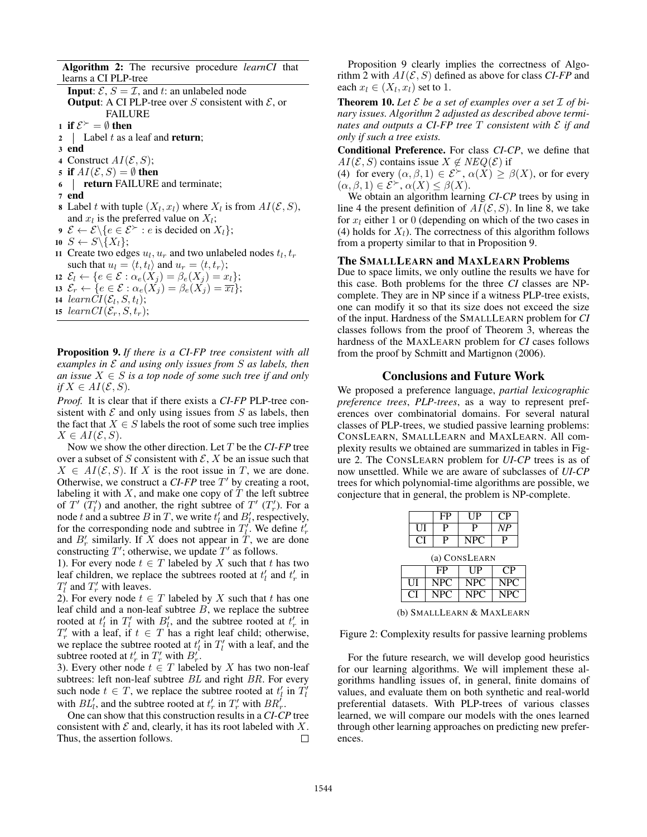Algorithm 2: The recursive procedure *learnCI* that learns a CI PLP-tree

**Input:**  $\mathcal{E}, S = \mathcal{I}$ , and t: an unlabeled node **Output:** A CI PLP-tree over S consistent with  $\mathcal{E}$ , or FAILURE 1 if  $\mathcal{E}^{\succ} = \emptyset$  then 2 | Label  $t$  as a leaf and **return**; <sup>3</sup> end 4 Construct  $AI(\mathcal{E}, S)$ ; 5 if  $AI(\mathcal{E}, S) = \emptyset$  then <sup>6</sup> return FAILURE and terminate;

- <sup>7</sup> end
- **8** Label t with tuple  $(X_l, x_l)$  where  $X_l$  is from  $AI(\mathcal{E}, S)$ , and  $x_l$  is the preferred value on  $X_l$ ;
- 9  $\mathcal{E} \leftarrow \mathcal{E} \backslash \{e \in \mathcal{E}^{\succ} : e \text{ is decided on } X_l\};$
- 10  $S \leftarrow S \setminus \{X_l\};$
- 11 Create two edges  $u_l$ ,  $u_r$  and two unlabeled nodes  $t_l$ ,  $t_r$ such that  $u_l = \langle t, t_l \rangle$  and  $u_r = \langle t, t_r \rangle$ ;
- 12  $\mathcal{E}_l \leftarrow \{e \in \mathcal{E} : \alpha_e(X_j) = \beta_e(X_j) = x_l\};$
- 13  $\mathcal{E}_r \leftarrow \{e \in \mathcal{E} : \alpha_e(X_j) = \beta_e(X_j) = \overline{x_l}\};$
- 14  $learnCI(\mathcal{E}_l, S, t_l);$
- 15 learn  $CI(\mathcal{E}_r, S, t_r);$

Proposition 9. *If there is a CI-FP tree consistent with all examples in* E *and using only issues from* S *as labels, then an issue*  $X \in S$  *is a top node of some such tree if and only if*  $X \in AI(\mathcal{E}, S)$ *.* 

*Proof.* It is clear that if there exists a *CI*-*FP* PLP-tree consistent with  $\mathcal E$  and only using issues from  $S$  as labels, then the fact that  $X \in S$  labels the root of some such tree implies  $X \in AI(\mathcal{E}, S)$ .

Now we show the other direction. Let T be the *CI*-*FP* tree over a subset of S consistent with  $\mathcal{E}, X$  be an issue such that  $X \in AI(\mathcal{E}, S)$ . If X is the root issue in T, we are done. Otherwise, we construct a  $CI$ - $FP$  tree  $T'$  by creating a root, labeling it with  $X$ , and make one copy of  $T$  the left subtree of  $T'$   $(T'_l)$  and another, the right subtree of  $T'$   $(T'_r)$ . For a node t and a subtree B in T, we write  $t'_l$  and  $B'_l$ , respectively, for the corresponding node and subtree in  $T_l^{\prime}$ . We define  $t_r^{\prime}$ and  $B'_r$  similarly. If X does not appear in  $\dot{T}$ , we are done constructing  $T'$ ; otherwise, we update  $T'$  as follows.

1). For every node  $t \in T$  labeled by X such that t has two leaf children, we replace the subtrees rooted at  $t'_{l}$  and  $t'_{r}$  in  $T'_l$  and  $T'_r$  with leaves.

2). For every node  $t \in T$  labeled by X such that t has one leaf child and a non-leaf subtree  $B$ , we replace the subtree rooted at  $t'_l$  in  $T'_l$  with  $B'_l$ , and the subtree rooted at  $t'_r$  in  $T'_r$  with a leaf, if  $t \in T$  has a right leaf child; otherwise, we replace the subtree rooted at  $t'_l$  in  $T'_l$  with a leaf, and the subtree rooted at  $t'_r$  in  $T'_r$  with  $B'_r$ .

3). Every other node  $t \in T$  labeled by X has two non-leaf subtrees: left non-leaf subtree BL and right BR. For every such node  $t \in T$ , we replace the subtree rooted at  $t'_l$  in  $\overline{T'_l}$ with  $BL'_l$ , and the subtree rooted at  $t'_r$  in  $T'_r$  with  $BR'_r$ .

One can show that this construction results in a *CI*-*CP* tree consistent with  $\mathcal E$  and, clearly, it has its root labeled with  $X$ . Thus, the assertion follows. □

Proposition 9 clearly implies the correctness of Algorithm 2 with  $AI(\mathcal{E}, S)$  defined as above for class *CI-FP* and each  $x_l \in (X_l, x_l)$  set to 1.

**Theorem 10.** Let  $\mathcal E$  be a set of examples over a set  $\mathcal I$  of bi*nary issues. Algorithm 2 adjusted as described above terminates and outputs a CI-FP tree* T *consistent with* E *if and only if such a tree exists.*

Conditional Preference. For class *CI*-*CP*, we define that  $AI(\mathcal{E}, S)$  contains issue  $X \notin NEQ(\mathcal{E})$  if

(4) for every  $(\alpha, \beta, 1) \in \mathcal{E}^{\succ}$ ,  $\alpha(X) \geq \beta(X)$ , or for every  $(\alpha, \beta, 1) \in \mathcal{E}^{\succ}, \alpha(X) \leq \beta(X).$ 

We obtain an algorithm learning *CI*-*CP* trees by using in line 4 the present definition of  $AI(\mathcal{E}, S)$ . In line 8, we take for  $x_l$  either 1 or 0 (depending on which of the two cases in (4) holds for  $X_l$ ). The correctness of this algorithm follows from a property similar to that in Proposition 9.

#### The SMALLLEARN and MAXLEARN Problems

Due to space limits, we only outline the results we have for this case. Both problems for the three *CI* classes are NPcomplete. They are in NP since if a witness PLP-tree exists, one can modify it so that its size does not exceed the size of the input. Hardness of the SMALLLEARN problem for *CI* classes follows from the proof of Theorem 3, whereas the hardness of the MAXLEARN problem for *CI* cases follows from the proof by Schmitt and Martignon (2006).

#### Conclusions and Future Work

We proposed a preference language, *partial lexicographic preference trees*, *PLP-trees*, as a way to represent preferences over combinatorial domains. For several natural classes of PLP-trees, we studied passive learning problems: CONSLEARN, SMALLLEARN and MAXLEARN. All complexity results we obtained are summarized in tables in Figure 2. The CONSLEARN problem for *UI*-*CP* trees is as of now unsettled. While we are aware of subclasses of *UI*-*CP* trees for which polynomial-time algorithms are possible, we conjecture that in general, the problem is NP-complete.

|               |    | FP               | UP         | CР         |  |  |  |
|---------------|----|------------------|------------|------------|--|--|--|
|               | UІ | P                | P          | NP         |  |  |  |
|               | C  | Р                | <b>NPC</b> | P          |  |  |  |
| (a) CONSLEARN |    |                  |            |            |  |  |  |
|               |    | FP               | UP         | CР         |  |  |  |
|               | UІ | <b>NPC</b>       | <b>NPC</b> | <b>NPC</b> |  |  |  |
|               |    | NPC <sup>.</sup> | NPC.       | NPC.       |  |  |  |

(b) SMALLLEARN & MAXLEARN

Figure 2: Complexity results for passive learning problems

For the future research, we will develop good heuristics for our learning algorithms. We will implement these algorithms handling issues of, in general, finite domains of values, and evaluate them on both synthetic and real-world preferential datasets. With PLP-trees of various classes learned, we will compare our models with the ones learned through other learning approaches on predicting new preferences.